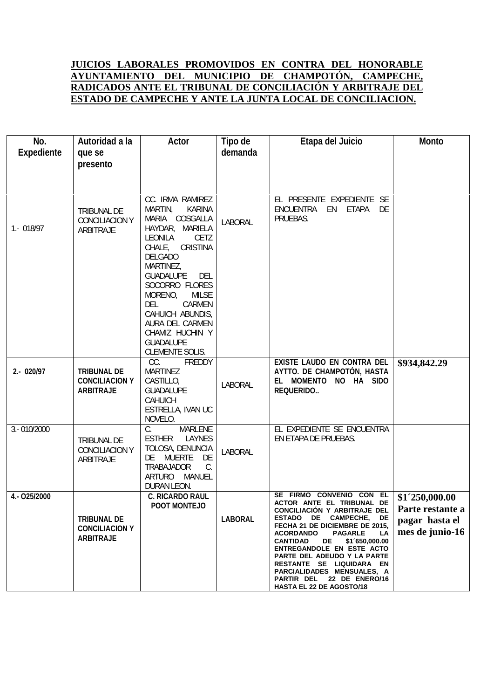## **JUICIOS LABORALES PROMOVIDOS EN CONTRA DEL HONORABLE AYUNTAMIENTO DEL MUNICIPIO DE CHAMPOTÓN, CAMPECHE, RADICADOS ANTE EL TRIBUNAL DE CONCILIACIÓN Y ARBITRAJE DEL ESTADO DE CAMPECHE Y ANTE LA JUNTA LOCAL DE CONCILIACION.**

| No.<br>Expediente | Autoridad a la<br>que se<br>presento                            | <b>Actor</b>                                                                                                                                                                                                                                                                                                                                                                              | <b>Tipo de</b><br>demanda | Etapa del Juicio                                                                                                                                                                                                                                                                                                                                                                                                               | <b>Monto</b>                                                            |
|-------------------|-----------------------------------------------------------------|-------------------------------------------------------------------------------------------------------------------------------------------------------------------------------------------------------------------------------------------------------------------------------------------------------------------------------------------------------------------------------------------|---------------------------|--------------------------------------------------------------------------------------------------------------------------------------------------------------------------------------------------------------------------------------------------------------------------------------------------------------------------------------------------------------------------------------------------------------------------------|-------------------------------------------------------------------------|
| 1 - 018/97        | <b>TRIBUNAL DE</b><br>CONCILIACION Y<br><b>ARBITRAJE</b>        | CC. IRMA RAMIREZ<br><b>MARTIN,</b><br><b>KARINA</b><br>MARIA COSGALLA<br>HAYDAR, MARIELA<br><b>LEONILA</b><br><b>CETZ</b><br>CHALE, CRISTINA<br><b>DELGADO</b><br><b>MARTINEZ,</b><br><b>GUADALUPE</b><br>DEL<br>SOCORRO FLORES<br>MORENO,<br><b>MLSE</b><br><b>DEL</b><br><b>CARMEN</b><br>CAHUICH ABUNDIS,<br>AURA DEL CARMEN<br>CHAMIZ HUCHIN Y<br><b>GUADALUPE</b><br>CLEMENTE SOLIS. | <b>LABORAL</b>            | EL PRESENTE EXPEDIENTE SE<br>ENCUENTRA EN ETAPA DE<br>PRUEBAS.                                                                                                                                                                                                                                                                                                                                                                 |                                                                         |
| 2 - 020/97        | <b>TRIBUNAL DE</b><br><b>CONCILIACION Y</b><br><b>ARBITRAJE</b> | CC.<br><b>FREDDY</b><br><b>MARTINEZ</b><br>CASTILLO,<br><b>GUADALUPE</b><br><b>CAHUICH</b><br>ESTRELLA, IVAN UC<br>NOVELO.                                                                                                                                                                                                                                                                | <b>LABORAL</b>            | <b>EXISTE LAUDO EN CONTRA DEL</b><br>AYTTO. DE CHAMPOTÓN, HASTA<br>EL MOMENTO NO HA SIDO<br><b>REQUERIDO</b>                                                                                                                                                                                                                                                                                                                   | \$934,842.29                                                            |
| 3 .- 010/2000     | <b>TRIBUNAL DE</b><br>CONCILIACION Y<br><b>ARBITRAJE</b>        | C.<br><b>MARLENE</b><br>ESTHER LAYNES<br>TOLOSA, DENUNCIA<br>DE MUERTE<br>DE<br><b>TRABAJADOR</b><br>C.<br>ARTURO MANUEL<br>DURAN LEON.                                                                                                                                                                                                                                                   | <b>LABORAL</b>            | EL EXPEDIENTE SE ENCUENTRA<br>EN ETAPA DE PRUEBAS.                                                                                                                                                                                                                                                                                                                                                                             |                                                                         |
| 4 - 025/2000      | <b>TRIBUNAL DE</b><br><b>CONCILIACION Y</b><br><b>ARBITRAJE</b> | <b>C. RICARDO RAUL</b><br>POOT MONTEJO                                                                                                                                                                                                                                                                                                                                                    | <b>LABORAL</b>            | SE FIRMO CONVENIO CON EL<br>ACTOR ANTE EL TRIBUNAL DE<br>CONCILIACION Y ARBITRAJE DEL<br>ESTADO DE CAMPECHE, DE<br>FECHA 21 DE DICIEMBRE DE 2015,<br><b>ACORDANDO</b><br><b>PAGARLE</b><br><b>LA</b><br><b>CANTIDAD</b><br>DE<br>\$1 650,000.00<br>ENTREGANDOLE EN ESTE ACTO<br>PARTE DEL ADEUDO Y LA PARTE<br>RESTANTE SE LIQUIDARA EN<br>PARCIALIDADES MENSUALES, A<br>PARTIR DEL 22 DE ENERO/16<br>HASTA EL 22 DE AGOSTO/18 | \$1'250,000.00<br>Parte restante a<br>pagar hasta el<br>mes de junio-16 |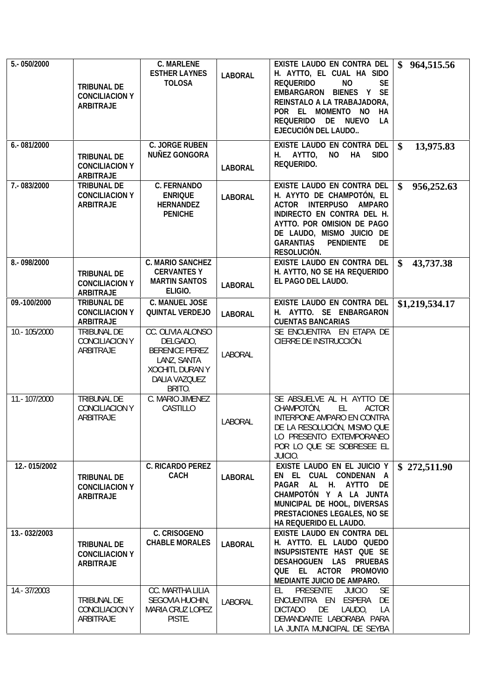| 5 .- 050/2000  | <b>TRIBUNAL DE</b><br><b>CONCILIACION Y</b><br><b>ARBITRAJE</b> | <b>C. MARLENE</b><br><b>ESTHER LAYNES</b><br><b>TOLOSA</b>                                                                       | <b>LABORAL</b> | <b>EXISTE LAUDO EN CONTRA DEL</b><br>H. AYTTO, EL CUAL HA SIDO<br><b>REQUERIDO</b><br><b>NO</b><br>SE<br><b>EMBARGARON BIENES Y SE</b><br>REINSTALO A LA TRABAJADORA,<br>POR EL MOMENTO NO<br>HA<br>REQUERIDO DE NUEVO<br>LA<br>EJECUCIÓN DEL LAUDO | 964,515.56                 |
|----------------|-----------------------------------------------------------------|----------------------------------------------------------------------------------------------------------------------------------|----------------|-----------------------------------------------------------------------------------------------------------------------------------------------------------------------------------------------------------------------------------------------------|----------------------------|
| 6 - 081/2000   | <b>TRIBUNAL DE</b><br><b>CONCILIACION Y</b><br><b>ARBITRAJE</b> | C. JORGE RUBEN<br><b>NUÑEZ GONGORA</b>                                                                                           | <b>LABORAL</b> | <b>EXISTE LAUDO EN CONTRA DEL</b><br>H. AYTTO,<br>NO HA<br><b>SIDO</b><br><b>REQUERIDO.</b>                                                                                                                                                         | $\mathbf{\$}$<br>13,975.83 |
| 7 .- 083/2000  | <b>TRIBUNAL DE</b><br><b>CONCILIACION Y</b><br><b>ARBITRAJE</b> | <b>C. FERNANDO</b><br><b>ENRIQUE</b><br><b>HERNANDEZ</b><br><b>PENICHE</b>                                                       | <b>LABORAL</b> | EXISTE LAUDO EN CONTRA DEL<br>H. AYYTO DE CHAMPOTÓN, EL<br><b>ACTOR INTERPUSO AMPARO</b><br>INDIRECTO EN CONTRA DEL H.<br>AYTTO. POR OMISION DE PAGO<br>DE LAUDO, MISMO JUICIO DE<br><b>GARANTIAS PENDIENTE</b><br>DE<br><b>RESOLUCIÓN.</b>         | \$<br>956,252.63           |
| 8 - 098/2000   | <b>TRIBUNAL DE</b><br><b>CONCILIACION Y</b><br><b>ARBITRAJE</b> | <b>C. MARIO SANCHEZ</b><br><b>CERVANTES Y</b><br><b>MARTIN SANTOS</b><br>ELIGIO.                                                 | <b>LABORAL</b> | <b>EXISTE LAUDO EN CONTRA DEL</b><br>H. AYTTO, NO SE HA REQUERIDO<br>EL PAGO DEL LAUDO.                                                                                                                                                             | \$<br>43,737.38            |
| 09.-100/2000   | <b>TRIBUNAL DE</b><br><b>CONCILIACION Y</b><br><b>ARBITRAJE</b> | C. MANUEL JOSE<br><b>QUINTAL VERDEJO</b>                                                                                         | <b>LABORAL</b> | EXISTE LAUDO EN CONTRA DEL<br>H. AYTTO. SE ENBARGARON<br><b>CUENTAS BANCARIAS</b>                                                                                                                                                                   | \$1,219,534.17             |
| 10 .- 105/2000 | <b>TRIBUNAL DE</b><br>CONCILIACION Y<br><b>ARBITRAJE</b>        | CC. OLIVIA ALONSO<br>DELGADO,<br><b>BERENICE PEREZ</b><br>LANZ, SANTA<br><b>XOCHITL DURANY</b><br><b>DALIA VAZQUEZ</b><br>BRITO. | <b>LABORAL</b> | SE ENCUENTRA EN ETAPA DE<br>CIERRE DE INSTRUCCIÓN.                                                                                                                                                                                                  |                            |
| 11.-107/2000   | <b>TRIBUNAL DE</b><br>CONCILIACION Y<br><b>ARBITRAJE</b>        | C. MARIO JIMENEZ<br><b>CASTILLO</b>                                                                                              | <b>LABORAL</b> | SE ABSUELVE AL H. AYTTO DE<br>CHAMPOTÓN,<br><b>ACTOR</b><br>EL.<br><b>INTERPONE AMPARO EN CONTRA</b><br>DE LA RESOLUCIÓN, MISMO QUE<br>LO PRESENTO EXTEMPORANEO<br>POR LO QUE SE SOBRESEE EL<br><b>JUICIO.</b>                                      |                            |
| 12 - 015/2002  | <b>TRIBUNAL DE</b><br><b>CONCILIACION Y</b><br><b>ARBITRAJE</b> | <b>C. RICARDO PEREZ</b><br><b>CACH</b>                                                                                           | <b>LABORAL</b> | EXISTE LAUDO EN EL JUICIO Y<br>EN EL CUAL CONDENAN A<br>PAGAR AL H. AYTTO DE<br>CHAMPOTÓN Y A LA JUNTA<br>MUNICIPAL DE HOOL, DIVERSAS<br>PRESTACIONES LEGALES, NO SE<br>HA REQUERIDO EL LAUDO.                                                      | \$272,511.90               |
| 13 - 032/2003  | <b>TRIBUNAL DE</b><br><b>CONCILIACION Y</b><br><b>ARBITRAJE</b> | C. CRISOGENO<br><b>CHABLE MORALES</b>                                                                                            | <b>LABORAL</b> | <b>EXISTE LAUDO EN CONTRA DEL</b><br>H. AYTTO. EL LAUDO QUEDO<br>INSUPSISTENTE HAST QUE SE<br>DESAHOGUEN LAS PRUEBAS<br>QUE EL ACTOR PROMOVIO<br>MEDIANTE JUICIO DE AMPARO.                                                                         |                            |
| 14 - 37/2003   | <b>TRIBUNAL DE</b><br>CONCILIACION Y<br><b>ARBITRAJE</b>        | CC. MARTHA LILIA<br>SEGOVIA HUCHIN,<br>MARIA CRUZ LOPEZ<br>PISTE.                                                                | <b>LABORAL</b> | <b>PRESENTE</b><br>EL.<br><b>JUICIO SE</b><br>ENCUENTRA EN ESPERA DE<br><b>DE</b><br><b>DICTADO</b><br>LAUDO,<br>LA<br>DEMANDANTE LABORABA PARA<br>LA JUNTA MUNICIPAL DE SEYBA                                                                      |                            |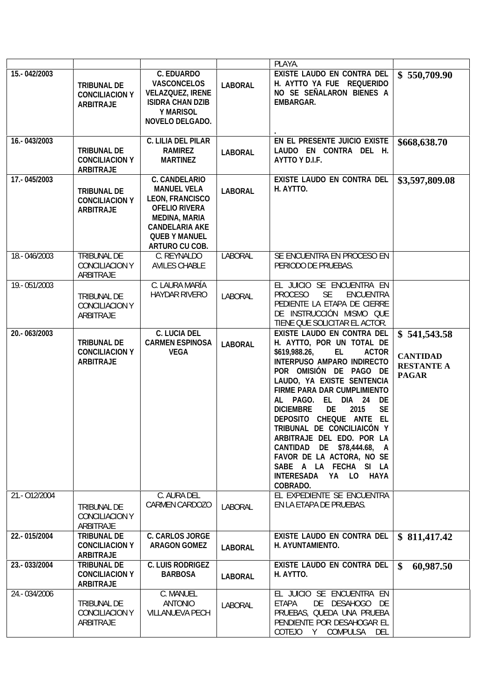|                |                                                                 |                                                                                                                                                                                         |                | <b>PLAYA</b>                                                                                                                                                                                                                                                                                                                                                                                                                                                                                                                        |                                                                      |
|----------------|-----------------------------------------------------------------|-----------------------------------------------------------------------------------------------------------------------------------------------------------------------------------------|----------------|-------------------------------------------------------------------------------------------------------------------------------------------------------------------------------------------------------------------------------------------------------------------------------------------------------------------------------------------------------------------------------------------------------------------------------------------------------------------------------------------------------------------------------------|----------------------------------------------------------------------|
| 15 .- 042/2003 | <b>TRIBUNAL DE</b><br><b>CONCILIACION Y</b><br><b>ARBITRAJE</b> | C. EDUARDO<br><b>VASCONCELOS</b><br><b>VELAZQUEZ, IRENE</b><br><b>ISIDRA CHAN DZIB</b><br><b>Y MARISOL</b><br>NOVELO DELGADO.                                                           | <b>LABORAL</b> | <b>EXISTE LAUDO EN CONTRA DEL</b><br>H. AYTTO YA FUE REQUERIDO<br>NO SE SEÑALARON BIENES A<br><b>EMBARGAR.</b>                                                                                                                                                                                                                                                                                                                                                                                                                      | \$550,709.90                                                         |
| 16 - 043/2003  | <b>TRIBUNAL DE</b><br><b>CONCILIACION Y</b><br><b>ARBITRAJE</b> | C. LILIA DEL PILAR<br><b>RAMREZ</b><br><b>MARTINEZ</b>                                                                                                                                  | <b>LABORAL</b> | EN EL PRESENTE JUICIO EXISTE<br>LAUDO EN CONTRA DEL H.<br>AYTTO Y D.I.F.                                                                                                                                                                                                                                                                                                                                                                                                                                                            | \$668,638.70                                                         |
| 17 .- 045/2003 | <b>TRIBUNAL DE</b><br><b>CONCILIACION Y</b><br><b>ARBITRAJE</b> | <b>C. CANDELARIO</b><br><b>MANUEL VELA</b><br><b>LEON, FRANCISCO</b><br><b>OFELIO RIVERA</b><br><b>MEDINA, MARIA</b><br><b>CANDELARIA AKE</b><br><b>QUEB Y MANUEL</b><br>ARTURO CU COB. | <b>LABORAL</b> | <b>EXISTE LAUDO EN CONTRA DEL</b><br>H. AYTTO.                                                                                                                                                                                                                                                                                                                                                                                                                                                                                      | \$3,597,809.08                                                       |
| 18 .- 046/2003 | <b>TRIBUNAL DE</b><br>CONCILIACION Y<br><b>ARBITRAJE</b>        | C. REYNALDO<br><b>AVILES CHABLE</b>                                                                                                                                                     | <b>LABORAL</b> | SE ENCUENTRA EN PROCESO EN<br>PERIODO DE PRUEBAS.                                                                                                                                                                                                                                                                                                                                                                                                                                                                                   |                                                                      |
| 19.-051/2003   | TRIBUNAL DE<br>CONCILIACION Y<br><b>ARBITRAJE</b>               | C. LAURA MARÍA<br><b>HAYDAR RIVERO</b>                                                                                                                                                  | <b>LABORAL</b> | EL JUICIO SE ENCUENTRA EN<br><b>PROCESO</b><br><b>SE</b><br><b>ENCUENTRA</b><br>PEDIENTE LA ETAPA DE CIERRE<br>DE INSTRUCCIÓN MISMO QUE<br>TIENE QUE SOLICITAR EL ACTOR.                                                                                                                                                                                                                                                                                                                                                            |                                                                      |
| 20.-063/2003   | <b>TRIBUNAL DE</b><br><b>CONCILIACION Y</b><br><b>ARBITRAJE</b> | C. LUCIA DEL<br><b>CARMEN ESPINOSA</b><br><b>VEGA</b>                                                                                                                                   | <b>LABORAL</b> | <b>EXISTE LAUDO EN CONTRA DEL</b><br>H. AYTTO, POR UN TOTAL DE<br>\$619,988.26,<br><b>ACTOR</b><br>ᄟ<br><b>INTERPUSO AMPARO INDIRECTO</b><br>POR OMISIÓN DE PAGO DE<br>LAUDO, YA EXISTE SENTENCIA<br><b>FIRME PARA DAR CUMPLIMIENTO</b><br>AL PAGO. EL DIA 24<br>DE<br><b>SE</b><br><b>DICIEMBRE</b><br>DE<br>2015<br>DEPOSITO CHEQUE ANTE<br>且<br>TRIBUNAL DE CONCILIAICÓN Y<br>ARBITRAJE DEL EDO. POR LA<br>CANTIDAD DE \$78,444.68, A<br>FAVOR DE LA ACTORA, NO SE<br>SABE A LA FECHA SI LA<br>INTERESADA YA LO HAYA<br>COBRADO. | \$541,543.58<br><b>CANTIDAD</b><br><b>RESTANTE A</b><br><b>PAGAR</b> |
| 21 .- 012/2004 | <b>TRIBUNAL DE</b><br>CONCILIACION Y<br><b>ARBITRAJE</b>        | C. AURA DEL<br>CARMEN CARDOZO                                                                                                                                                           | <b>LABORAL</b> | EL EXPEDIENTE SE ENCUENTRA<br>EN LA ETAPA DE PRUEBAS.                                                                                                                                                                                                                                                                                                                                                                                                                                                                               |                                                                      |
| 22 - 015/2004  | <b>TRIBUNAL DE</b><br><b>CONCILIACION Y</b><br><b>ARBITRAJE</b> | C. CARLOS JORGE<br><b>ARAGON GOMEZ</b>                                                                                                                                                  | <b>LABORAL</b> | <b>EXISTE LAUDO EN CONTRA DEL</b><br><b>H. AYUNTAMIENTO.</b>                                                                                                                                                                                                                                                                                                                                                                                                                                                                        | \$811,417.42                                                         |
| 23 - 033/2004  | <b>TRIBUNAL DE</b><br><b>CONCILIACION Y</b><br><b>ARBITRAJE</b> | <b>C. LUIS RODRIGEZ</b><br><b>BARBOSA</b>                                                                                                                                               | <b>LABORAL</b> | <b>EXISTE LAUDO EN CONTRA DEL</b><br>H. AYTTO.                                                                                                                                                                                                                                                                                                                                                                                                                                                                                      | $\mathbf{\$}$<br>60,987.50                                           |
| 24 - 034/2006  | <b>TRIBUNAL DE</b><br>CONCILIACION Y<br><b>ARBITRAJE</b>        | C. MANUEL<br><b>ANTONIO</b><br><b>VILLANUEVA PECH</b>                                                                                                                                   | <b>LABORAL</b> | EL JUICIO SE ENCUENTRA EN<br><b>ETAPA</b><br>DE DESAHOGO DE<br>PRUEBAS, QUEDA UNA PRUEBA<br>PENDIENTE POR DESAHOGAR EL<br>COTEJO Y<br>COMPULSA DEL                                                                                                                                                                                                                                                                                                                                                                                  |                                                                      |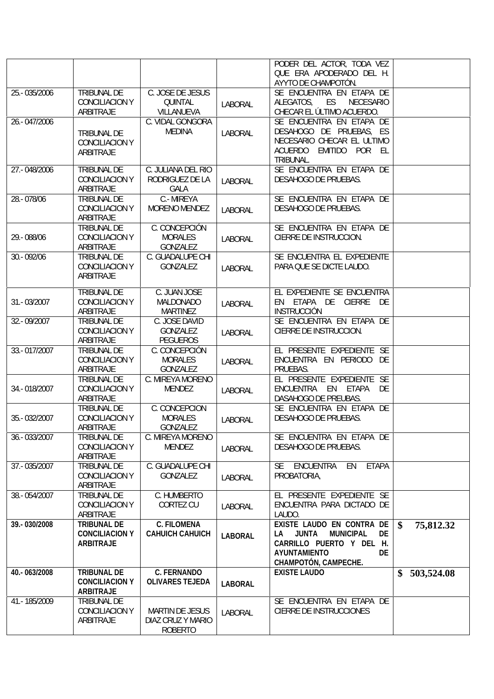|               |                       |                        |                | PODER DEL ACTOR, TODA VEZ                               |                  |
|---------------|-----------------------|------------------------|----------------|---------------------------------------------------------|------------------|
|               |                       |                        |                | QUE ERA APODERADO DEL H.                                |                  |
|               |                       |                        |                | AYYTO DE CHAMPOTÓN.                                     |                  |
| 25 - 035/2006 | <b>TRIBUNAL DE</b>    | C. JOSE DE JESUS       |                | SE ENCUENTRA EN ETAPA DE                                |                  |
|               | CONCILIACION Y        | <b>QUINTAL</b>         |                | ALEGATOS, ES<br><b>NECESARIO</b>                        |                  |
|               | <b>ARBITRAJE</b>      | <b>VILLANUEVA</b>      | <b>LABORAL</b> | CHECAR EL ÚLTIMO ACUERDO.                               |                  |
|               |                       |                        |                |                                                         |                  |
| 26.-047/2006  |                       | C. VIDAL GONGORA       |                | SE ENCUENTRA EN ETAPA DE                                |                  |
|               | <b>TRIBUNAL DE</b>    | <b>MEDINA</b>          | <b>LABORAL</b> | DESAHOGO DE PRUEBAS, ES                                 |                  |
|               | CONCILIACION Y        |                        |                | NECESARIO CHECAR EL ULTIMO                              |                  |
|               | <b>ARBITRAJE</b>      |                        |                | ACUERDO EMITIDO POR EL                                  |                  |
|               |                       |                        |                | <b>TRIBUNAL</b>                                         |                  |
| 27.-048/2006  | <b>TRIBUNAL DE</b>    | C. JULIANA DEL RIO     |                | SE ENCUENTRA EN ETAPA DE                                |                  |
|               | <b>CONCILIACION Y</b> | RODRIGUEZ DE LA        | <b>LABORAL</b> | DESAHOGO DE PRUEBAS.                                    |                  |
|               | <b>ARBITRAJE</b>      | <b>GALA</b>            |                |                                                         |                  |
| 28 - 078/06   | <b>TRIBUNAL DE</b>    | C - MIREYA             |                | SE ENCUENTRA EN ETAPA DE                                |                  |
|               | CONCILIACION Y        | <b>MORENO MENDEZ</b>   | <b>LABORAL</b> | DESAHOGO DE PRUEBAS.                                    |                  |
|               | <b>ARBITRAJE</b>      |                        |                |                                                         |                  |
|               | <b>TRIBUNAL DE</b>    | C. CONCEPCIÓN          |                | SE ENCUENTRA EN ETAPA DE                                |                  |
| 29 .- 088/06  | CONCILIACION Y        | <b>MORALES</b>         | <b>LABORAL</b> | CIERRE DE INSTRUCCION.                                  |                  |
|               | <b>ARBITRAJE</b>      | <b>GONZALEZ</b>        |                |                                                         |                  |
| 30.-092/06    | <b>TRIBUNAL DE</b>    | C. GUADALUPE CHI       |                | SE ENCUENTRA EL EXPEDIENTE                              |                  |
|               | CONCILIACION Y        | <b>GONZALEZ</b>        |                | PARA QUE SE DICTE LAUDO.                                |                  |
|               | <b>ARBITRAJE</b>      |                        | <b>LABORAL</b> |                                                         |                  |
|               |                       |                        |                |                                                         |                  |
|               | <b>TRIBUNAL DE</b>    | C. JUAN JOSE           |                | EL EXPEDIENTE SE ENCUENTRA                              |                  |
| 31 .- 03/2007 | CONCILIACION Y        | <b>MALDONADO</b>       | <b>LABORAL</b> | EN ETAPA DE CIERRE DE                                   |                  |
|               | <b>ARBITRAJE</b>      | <b>MARTINEZ</b>        |                | <b>INSTRUCCIÓN</b>                                      |                  |
| 32 - 09/2007  | <b>TRIBUNAL DE</b>    | C. JOSE DAVID          |                | SE ENCUENTRA EN ETAPA DE                                |                  |
|               | CONCILIACION Y        | <b>GONZALEZ</b>        |                | CIERRE DE INSTRUCCION.                                  |                  |
|               | <b>ARBITRAJE</b>      | <b>PEGUEROS</b>        | <b>LABORAL</b> |                                                         |                  |
|               |                       |                        |                |                                                         |                  |
| 33 - 017/2007 | <b>TRIBUNAL DE</b>    | C. CONCEPCIÓN          |                | EL PRESENTE EXPEDIENTE SE                               |                  |
|               | CONCILIACION Y        | <b>MORALES</b>         | <b>LABORAL</b> | ENCUENTRA EN PERIODO DE                                 |                  |
|               | <b>ARBITRAJE</b>      | <b>GONZALEZ</b>        |                | PRUEBAS.                                                |                  |
|               | TRIBUNAL DE           | C. MIREYA MORENO       |                | EL PRESENTE EXPEDIENTE SE                               |                  |
| 34 - 018/2007 | CONCILIACION Y        | <b>MENDEZ</b>          | <b>LABORAL</b> | ENCUENTRA EN ETAPA DE                                   |                  |
|               | <b>ARBITRAJE</b>      |                        |                | DASAHOGO DE PREUBAS.                                    |                  |
|               | <b>TRIBUNAL DE</b>    | C. CONCEPCION          |                | SE ENCUENTRA EN ETAPA DE                                |                  |
| 35.-032/2007  | CONCILIACION Y        | <b>MORALES</b>         | <b>LABORAL</b> | <b>DESAHOGO DE PRUEBAS.</b>                             |                  |
|               | <b>ARBITRAJE</b>      | <b>GONZALEZ</b>        |                |                                                         |                  |
| 36 - 033/2007 | TRIBUNAL DE           | C. MIREYA MORENO       |                | SE ENCUENTRA EN ETAPA DE                                |                  |
|               | CONCILIACION Y        | <b>MENDEZ</b>          | <b>LABORAL</b> | DESAHOGO DE PRUEBAS.                                    |                  |
|               | <b>ARBITRAJE</b>      |                        |                |                                                         |                  |
| 37.-035/2007  | <b>TRIBUNAL DE</b>    | C. GUADALUPE CHI       |                | ENCUENTRA EN ETAPA<br>SE.                               |                  |
|               | CONCILIACION Y        | <b>GONZALEZ</b>        |                | PROBATORIA,                                             |                  |
|               | <b>ARBITRAJE</b>      |                        | <b>LABORAL</b> |                                                         |                  |
| 38 - 054/2007 |                       |                        |                | EL PRESENTE EXPEDIENTE SE                               |                  |
|               | <b>TRIBUNAL DE</b>    | C. HUMBERTO            |                |                                                         |                  |
|               | CONCILIACION Y        | CORTEZ CU              | <b>LABORAL</b> | ENCUENTRA PARA DICTADO DE                               |                  |
|               | <b>ARBITRAJE</b>      |                        |                | LAUDO.                                                  |                  |
| 39 - 030/2008 | <b>TRIBUNAL DE</b>    | <b>C. FILOMENA</b>     |                | <b>EXISTE LAUDO EN CONTRA DE <math>\vert \\$</math></b> | 75,812.32        |
|               | <b>CONCILIACION Y</b> | CAHUICH CAHUICH        | <b>LABORAL</b> | <b>JUNTA MUNICIPAL</b><br>DE<br>LA I                    |                  |
|               | <b>ARBITRAJE</b>      |                        |                | CARRILLO PUERTO Y DEL H.                                |                  |
|               |                       |                        |                |                                                         |                  |
|               |                       |                        |                | <b>DE</b><br><b>AYUNTAMENTO</b>                         |                  |
|               |                       |                        |                | <b>CHAMPOTÓN, CAMPECHE.</b>                             |                  |
| 40.-063/2008  | <b>TRIBUNAL DE</b>    | <b>C. FERNANDO</b>     |                | <b>EXISTE LAUDO</b>                                     | 503,524.08<br>\$ |
|               | <b>CONCILIACION Y</b> | <b>OLIVARES TEJEDA</b> | <b>LABORAL</b> |                                                         |                  |
|               | <b>ARBITRAJE</b>      |                        |                |                                                         |                  |
| 41 - 185/2009 | <b>TRIBUNAL DE</b>    |                        |                | SE ENCUENTRA EN ETAPA DE                                |                  |
|               | CONCILIACION Y        | <b>MARTIN DE JESUS</b> |                | CIERRE DE INSTRUCCIONES                                 |                  |
|               | <b>ARBITRAJE</b>      | DIAZ CRUZ Y MARIO      | <b>LABORAL</b> |                                                         |                  |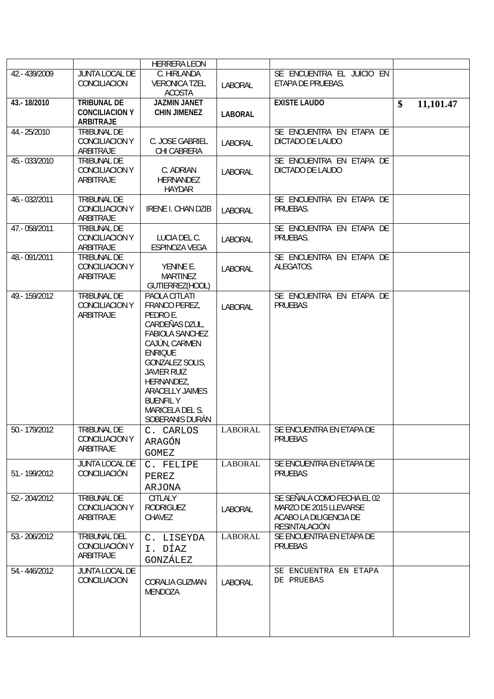|                |                                                          | <b>HERRERA LEON</b>                                                                                                                                                                                                                                                      |                |                                                                                                        |                 |
|----------------|----------------------------------------------------------|--------------------------------------------------------------------------------------------------------------------------------------------------------------------------------------------------------------------------------------------------------------------------|----------------|--------------------------------------------------------------------------------------------------------|-----------------|
| 42 .- 439/2009 | <b>JUNTA LOCAL DE</b><br><b>CONCILIACION</b>             | C. HIRLANDA<br><b>VERONICA TZEL</b><br><b>ACOSTA</b>                                                                                                                                                                                                                     | <b>LABORAL</b> | SE ENCUENTRA EL JUICIO EN<br>ETAPA DE PRUEBAS.                                                         |                 |
| 43 .- 18/2010  | <b>TRIBUNAL DE</b><br><b>CONCILIACION Y</b>              | <b>JAZMIN JANET</b><br><b>CHIN JIMENEZ</b>                                                                                                                                                                                                                               | <b>LABORAL</b> | <b>EXISTE LAUDO</b>                                                                                    | \$<br>11,101.47 |
|                | <b>ARBITRAJE</b>                                         |                                                                                                                                                                                                                                                                          |                |                                                                                                        |                 |
| 44 .- 25/2010  | <b>TRIBUNAL DE</b><br>CONCILIACION Y<br><b>ARBITRAJE</b> | C. JOSE GABRIEL<br>CHI CABRERA                                                                                                                                                                                                                                           | <b>LABORAL</b> | SE ENCUENTRA EN ETAPA DE<br>DICTADO DE LAUDO                                                           |                 |
| 45 .- 033/2010 | <b>TRIBUNAL DE</b><br>CONCILIACION Y<br><b>ARBITRAJE</b> | C. ADRIAN<br><b>HERNANDEZ</b><br><b>HAYDAR</b>                                                                                                                                                                                                                           | <b>LABORAL</b> | SE ENCUENTRA EN ETAPA DE<br>DICTADO DE LAUDO                                                           |                 |
| 46 - 032/2011  | <b>TRIBUNAL DE</b><br>CONCILIACION Y<br><b>ARBITRAJE</b> | <b>IRENE I. CHAN DZIB</b>                                                                                                                                                                                                                                                | <b>LABORAL</b> | SE ENCUENTRA EN ETAPA DE<br>PRUEBAS.                                                                   |                 |
| 47 .- 058/2011 | <b>TRIBUNAL DE</b><br>CONCILIACION Y<br><b>ARBITRAJE</b> | LUCIA DEL C.<br><b>ESPINOZA VEGA</b>                                                                                                                                                                                                                                     | <b>LABORAL</b> | SE ENCUENTRA EN ETAPA DE<br>PRUEBAS.                                                                   |                 |
| 48 .- 091/2011 | <b>TRIBUNAL DE</b><br>CONCILIACION Y<br><b>ARBITRAJE</b> | YENINE E.<br><b>MARTINEZ</b><br>GUTIERREZ(HOOL)                                                                                                                                                                                                                          | <b>LABORAL</b> | SE ENCUENTRA EN ETAPA DE<br>ALEGATOS.                                                                  |                 |
| 49 .- 159/2012 | <b>TRIBUNAL DE</b><br>CONCILIACION Y<br><b>ARBITRAJE</b> | PAOLA CITLATI<br>FRANCO PEREZ<br>PEDRO E.<br>CARDEÑAS DZUL<br><b>FABIOLA SANCHEZ</b><br>CAJÚN, CARMEN<br><b>ENRIQUE</b><br><b>GONZALEZ SOLIS,</b><br><b>JAVIER RUIZ</b><br><b>HERNANDEZ,</b><br>ARACELLY JAIMES<br><b>BUENFILY</b><br>MARICELA DEL S.<br>SOBERANIS DURÁN | <b>LABORAL</b> | SE ENCUENTRA EN ETAPA DE<br><b>PRUEBAS</b>                                                             |                 |
| 50 - 179/2012  | <b>TRIBUNAL DE</b><br>CONCILIACION Y<br><b>ARBITRAJE</b> | C. CARLOS<br>ARAGÓN<br>GOMEZ                                                                                                                                                                                                                                             | <b>LABORAL</b> | SE ENCUENTRA EN ETAPA DE<br><b>PRUEBAS</b>                                                             |                 |
| 51 - 199/2012  | <b>JUNTA LOCAL DE</b><br><b>CONCILIACIÓN</b>             | C. FELIPE<br>PEREZ<br>ARJONA                                                                                                                                                                                                                                             | <b>LABORAL</b> | SE ENCUENTRA EN ETAPA DE<br><b>PRUEBAS</b>                                                             |                 |
| 52 - 204/2012  | TRIBUNAL DE<br>CONCILIACION Y<br><b>ARBITRAJE</b>        | <b>CITLALY</b><br><b>RODRIGUEZ</b><br><b>CHAVEZ</b>                                                                                                                                                                                                                      | <b>LABORAL</b> | SE SEÑALA COMO FECHA EL 02<br>MARZO DE 2015 LLEVARSE<br>ACABO LA DILIGENCIA DE<br><b>RESINTALACIÓN</b> |                 |
| 53 - 206/2012  | TRIBUNAL DEL<br>CONCILIACIÓN Y<br><b>ARBITRAJE</b>       | C. LISEYDA<br>I. DÍAZ<br>GONZÁLEZ                                                                                                                                                                                                                                        | <b>LABORAL</b> | SE ENCUENTRA EN ETAPA DE<br><b>PRUEBAS</b>                                                             |                 |
| 54 .- 446/2012 | <b>JUNTA LOCAL DE</b><br><b>CONCILIACION</b>             | <b>CORALIA GUZMAN</b><br><b>MENDOZA</b>                                                                                                                                                                                                                                  | <b>LABORAL</b> | SE ENCUENTRA EN ETAPA<br>DE PRUEBAS                                                                    |                 |